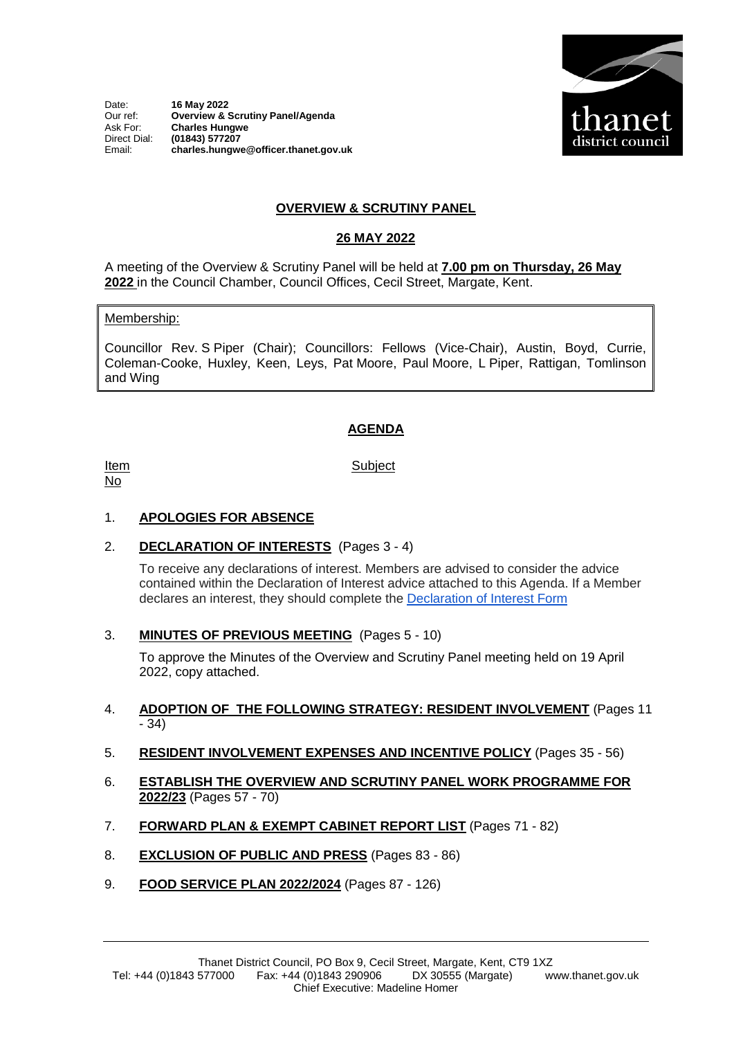Date: **16 May 2022**<br>Our ref: **Overview & Strate** Our ref: **Overview & Scrutiny Panel/Agenda** Ask For: **Charles Hungwe** Direct Dial: **(01843) 577207** Email: **charles.hungwe@officer.thanet.gov.uk**



## **OVERVIEW & SCRUTINY PANEL**

## **26 MAY 2022**

A meeting of the Overview & Scrutiny Panel will be held at **7.00 pm on Thursday, 26 May 2022** in the Council Chamber, Council Offices, Cecil Street, Margate, Kent.

#### Membership:

Councillor Rev. S Piper (Chair); Councillors: Fellows (Vice-Chair), Austin, Boyd, Currie, Coleman-Cooke, Huxley, Keen, Leys, Pat Moore, Paul Moore, L Piper, Rattigan, Tomlinson and Wing

## **AGENDA**

Item No

**Subject** 

# 1. **APOLOGIES FOR ABSENCE**

2. **DECLARATION OF INTERESTS** (Pages 3 - 4)

To receive any declarations of interest. Members are advised to consider the advice contained within the Declaration of Interest advice attached to this Agenda. If a Member declares an interest, they should complete the [Declaration of Interest Form](https://docs.google.com/forms/d/e/1FAIpQLSdYy7shF1kh6tvdSh3acxVRm70cKPLFkRBFNyVx2TgejRcm4w/viewform?usp=sf_link)

## 3. **MINUTES OF PREVIOUS MEETING** (Pages 5 - 10)

To approve the Minutes of the Overview and Scrutiny Panel meeting held on 19 April 2022, copy attached.

### 4. **ADOPTION OF THE FOLLOWING STRATEGY: RESIDENT INVOLVEMENT** (Pages 11  $- 34$

- 5. **RESIDENT INVOLVEMENT EXPENSES AND INCENTIVE POLICY** (Pages 35 56)
- 6. **ESTABLISH THE OVERVIEW AND SCRUTINY PANEL WORK PROGRAMME FOR 2022/23** (Pages 57 - 70)
- 7. **FORWARD PLAN & EXEMPT CABINET REPORT LIST** (Pages 71 82)
- 8. **EXCLUSION OF PUBLIC AND PRESS** (Pages 83 86)
- 9. **FOOD SERVICE PLAN 2022/2024** (Pages 87 126)